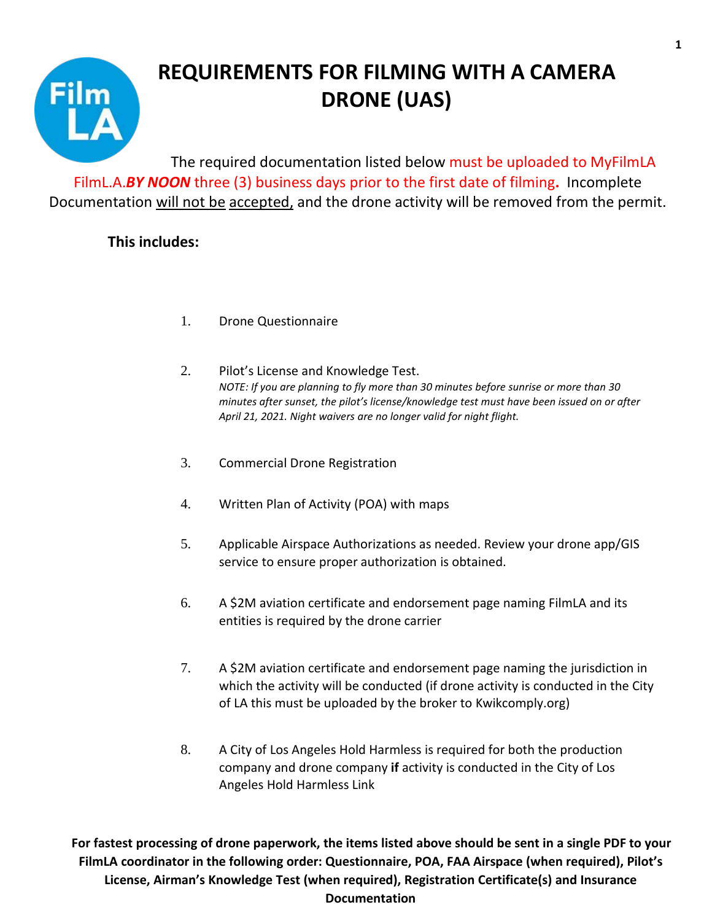

# **REQUIREMENTS FOR FILMING WITH A CAMERA DRONE (UAS)**

The required documentation listed below must be uploaded to MyFilmLA FilmL.A.*BY NOON* three (3) business days prior to the first date of filming**.** Incomplete Documentation will not be accepted, and the drone activity will be removed from the permit.

#### **This includes:**

- 1. Drone Questionnaire
- 2. Pilot's License and Knowledge Test. *NOTE: If you are planning to fly more than 30 minutes before sunrise or more than 30 minutes after sunset, the pilot's license/knowledge test must have been issued on or after April 21, 2021. Night waivers are no longer valid for night flight.*
- 3. Commercial Drone Registration
- 4. Written Plan of Activity (POA) with maps
- 5. Applicable Airspace Authorizations as needed. Review your drone app/GIS service to ensure proper authorization is obtained.
- 6. A \$2M aviation certificate and endorsement page naming FilmLA and its entities is required by the drone carrier
- 7. A \$2M aviation certificate and endorsement page naming the jurisdiction in which the activity will be conducted (if drone activity is conducted in the City of LA this must be uploaded by the broker to [Kwikcomply.org\)](https://faadronezone.faa.gov/#/)
- 8. A City of Los Angeles Hold Harmless is required for both the production company and drone company **if** activity is conducted in the City of Los Angeles Hold Harmless Link

**For fastest processing of drone paperwork, the items listed above should be sent in a single PDF to your FilmLA coordinator in the following order: Questionnaire, POA, FAA Airspace (when required), Pilot's License, Airman's Knowledge Test (when required), Registration Certificate(s) and Insurance Documentation**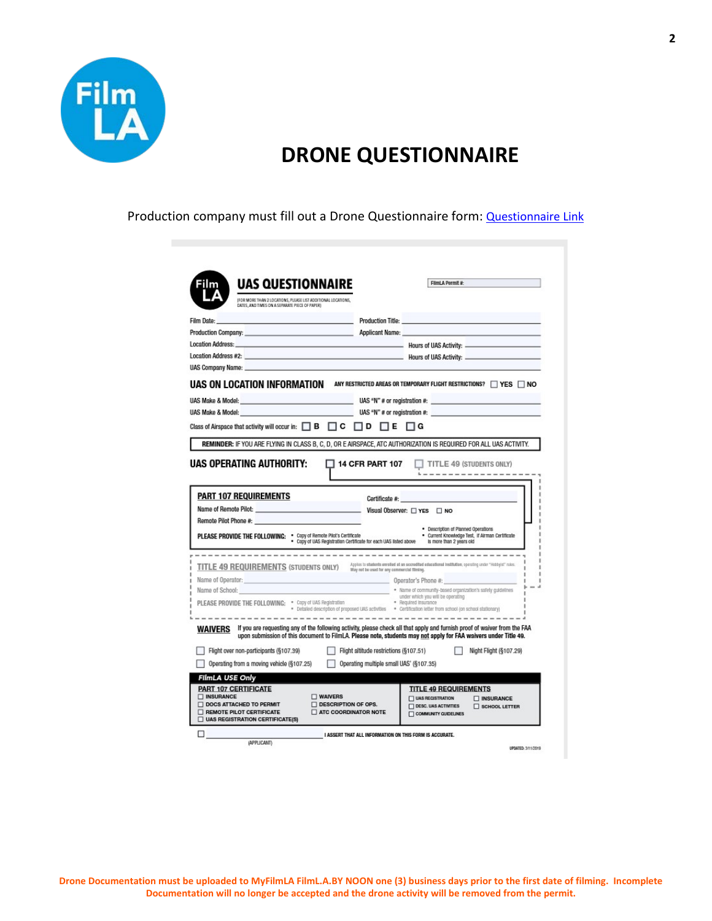

### **DRONE QUESTIONNAIRE**

Production company must fill out a Drone Questionnaire form: **Questionnaire Link** 

| <b>UAS QUESTIONNAIRE</b>                                                                                                                                                                                                      |                                                                                   | FilmLA Permit #:                                                                                                                                                                                                                             |
|-------------------------------------------------------------------------------------------------------------------------------------------------------------------------------------------------------------------------------|-----------------------------------------------------------------------------------|----------------------------------------------------------------------------------------------------------------------------------------------------------------------------------------------------------------------------------------------|
| (FOR MORE THAN 2 LOCATIONS, PLEASE LIST ADDITIONAL LOCATIONS,<br>DATES, AND TIMES ON A SEPARATE PIECE OF PAPER)                                                                                                               |                                                                                   |                                                                                                                                                                                                                                              |
| Film Date:                                                                                                                                                                                                                    |                                                                                   | Production Title: <b>Production Title:</b>                                                                                                                                                                                                   |
| Production Company: No. 2006. The Company of the Company of the Company of the Company of the Company of the Company of the Company of the Company of the Company of the Company of the Company of the Company of the Company |                                                                                   |                                                                                                                                                                                                                                              |
| <b>Location Address:</b>                                                                                                                                                                                                      |                                                                                   |                                                                                                                                                                                                                                              |
|                                                                                                                                                                                                                               |                                                                                   |                                                                                                                                                                                                                                              |
| UAS Company Name: <b>William Company Name: William Company Name:</b>                                                                                                                                                          |                                                                                   |                                                                                                                                                                                                                                              |
| <b>UAS ON LOCATION INFORMATION</b> ANY RESTRICTED AREAS OR TEMPORARY FLIGHT RESTRICTIONS? $\square$ yes $\square$ no                                                                                                          |                                                                                   |                                                                                                                                                                                                                                              |
|                                                                                                                                                                                                                               |                                                                                   |                                                                                                                                                                                                                                              |
|                                                                                                                                                                                                                               |                                                                                   |                                                                                                                                                                                                                                              |
|                                                                                                                                                                                                                               |                                                                                   |                                                                                                                                                                                                                                              |
| Class of Airspace that activity will occur in: $\Box$ $\Box$ $\Box$ $\Box$ $\Box$ $\Box$                                                                                                                                      | $\Box$ D<br>ПЕ                                                                    | $\Box$ G                                                                                                                                                                                                                                     |
| REMINDER: IF YOU ARE FLYING IN CLASS B, C, D, OR E AIRSPACE, ATC AUTHORIZATION IS REQUIRED FOR ALL UAS ACTIVITY.                                                                                                              |                                                                                   |                                                                                                                                                                                                                                              |
| <b>PART 107 REQUIREMENTS</b>                                                                                                                                                                                                  | $\Box$ 14 CFR PART 107<br>Certificate #:                                          | TITLE 49 (STUDENTS ONLY)                                                                                                                                                                                                                     |
| Remote Pilot Phone #:                                                                                                                                                                                                         |                                                                                   | _ Visual Observer: □ YES □ NO                                                                                                                                                                                                                |
| PLEASE PROVIDE THE FOLLOWING: . Capy of Remote Pilot's Certificate                                                                                                                                                            | . Copy of UAS Registration Certificate for each UAS listed above                  | · Description of Planned Operations<br>· Current Knowledge Test, If Airman Certificate<br>Is more than 2 years old                                                                                                                           |
| UAS OPERATING AUTHORITY:                                                                                                                                                                                                      |                                                                                   | --------------------------------------                                                                                                                                                                                                       |
| TITLE 49 REQUIREMENTS (STUDENTS ONLY) Applies to students consider at an accordated educational institution, operating under "Hotby'st" rules.                                                                                | May not be used for any commercial filming.                                       |                                                                                                                                                                                                                                              |
| Name of Operator:                                                                                                                                                                                                             |                                                                                   | Operator's Phone #:                                                                                                                                                                                                                          |
| Name of School:                                                                                                                                                                                                               |                                                                                   | . Name of community-based organization's safety guidelines<br>under which you will be operating                                                                                                                                              |
|                                                                                                                                                                                                                               |                                                                                   | . Detailed description of proposed UAS activities . certification letter from school (on school stationary)                                                                                                                                  |
| WAIVERS                                                                                                                                                                                                                       |                                                                                   | If you are requesting any of the following activity, please check all that apply and furnish proof of waiver from the FAA<br>upon submission of this document to FilmLA. Please note, students may not apply for FAA waivers under Title 49. |
| Flight over non-participants (§107.39)<br>Operating from a moving vehicle (§107.25)                                                                                                                                           | Flight altitude restrictions (§107.51)<br>Operating multiple small UAS' (§107.35) | Night Flight (§107.29)                                                                                                                                                                                                                       |
| FilmLA USE Only                                                                                                                                                                                                               |                                                                                   |                                                                                                                                                                                                                                              |
| <b>PART 107 CERTIFICATE</b>                                                                                                                                                                                                   |                                                                                   | <b>TITLE 49 REQUIREMENTS</b>                                                                                                                                                                                                                 |
| <b>NSURANCE</b><br>WAIVERS<br><b>DOCS ATTACHED TO PERMIT</b>                                                                                                                                                                  | <b>DESCRIPTION OF OPS.</b>                                                        | $\Box$ UAS RECISTRATION<br><b>NISURANCE</b><br><b>DESC. UAS ACTIVITIES</b><br>SCHOOL LETTER                                                                                                                                                  |

**2**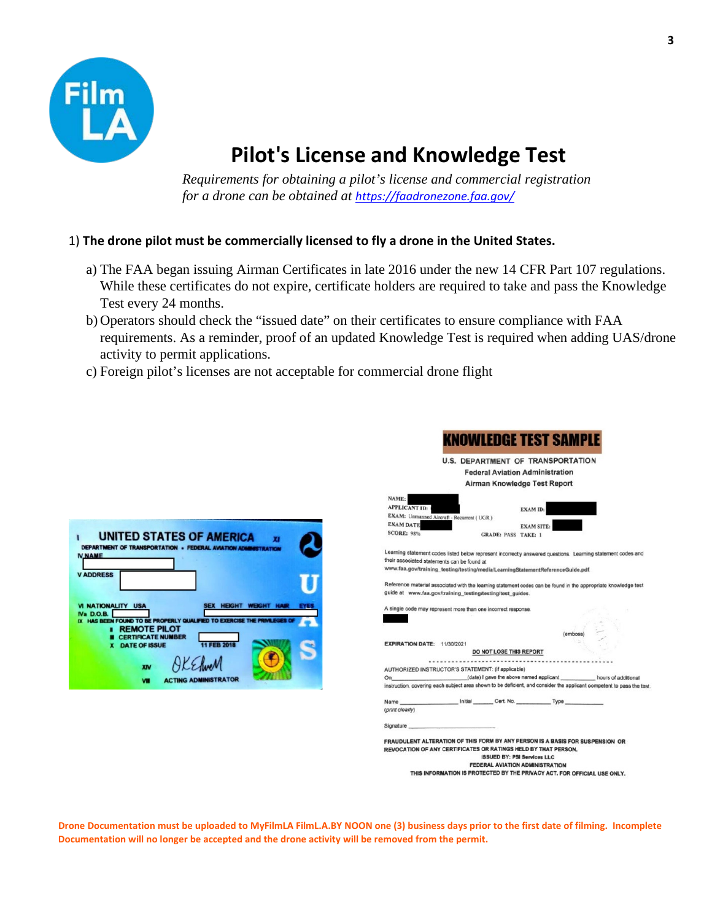

## **Pilot's License and Knowledge Test**

*Requirements for obtaining a pilot's license and commercial registration for a drone can be obtained at <https://faadronezone.faa.gov/>* 

#### 1) **The drone pilot must be commercially licensed to fly a drone in the United States.**

- a) The FAA began issuing Airman Certificates in late 2016 under the new 14 CFR Part 107 regulations. While these certificates do not expire, certificate holders are required to take and pass the Knowledge Test every 24 months.
- b) Operators should check the "issued date" on their certificates to ensure compliance with FAA requirements. As a reminder, proof of an updated Knowledge Test is required when adding UAS/drone activity to permit applications.

 $\overline{\phantom{a}}$ 

c) Foreign pilot's licenses are not acceptable for commercial drone flight

| <b>N NAME</b>                                 | <b>DEPARTMENT OF TRANSPORTATION . FEDERAL AVIATION ADMINISTRATION</b> |                      |                      |               |  |
|-----------------------------------------------|-----------------------------------------------------------------------|----------------------|----------------------|---------------|--|
| <b>V ADDRESS</b>                              |                                                                       |                      |                      |               |  |
| <b>VI NATIONALITY USA</b><br><b>Na D.O.B.</b> | HAS BEEN FOUND TO BE PROPERLY QUALIFIED TO EXERCISE                   |                      | <b>HEIGHT</b><br>SEX | <b>WEIGHT</b> |  |
|                                               | <b>REMOTE PILOT</b><br><b>CERTIFICATE NUMBER</b>                      |                      |                      |               |  |
|                                               |                                                                       | <b>DATE OF ISSUE</b> |                      |               |  |

|                                                                                                                                                                                                                                                | DWILEDGE TEST SAM                                                                                                   |
|------------------------------------------------------------------------------------------------------------------------------------------------------------------------------------------------------------------------------------------------|---------------------------------------------------------------------------------------------------------------------|
|                                                                                                                                                                                                                                                | <b>U.S. DEPARTMENT OF TRANSPORTATION</b>                                                                            |
|                                                                                                                                                                                                                                                | <b>Federal Aviation Administration</b>                                                                              |
|                                                                                                                                                                                                                                                | Airman Knowledge Test Report                                                                                        |
| NAME:<br><b>APPLICANT ID:</b>                                                                                                                                                                                                                  | <b>EXAM ID:</b>                                                                                                     |
| EXAM: Unmanned Aircraft - Recurrent (UGR)                                                                                                                                                                                                      |                                                                                                                     |
| <b>EXAM DATE</b>                                                                                                                                                                                                                               | <b>EXAM SITE:</b>                                                                                                   |
| <b>SCORE: 98%</b><br><b>GRADE: PASS TAKE: 1</b>                                                                                                                                                                                                |                                                                                                                     |
| Learning statement codes listed below represent incorrectly answered questions. Learning statement codes and<br>their associated statements can be found at<br>www.faa.gov/training_testing/testing/media/LearningStatementReferenceGuide.pdf. |                                                                                                                     |
| Reference material associated with the learning statement codes can be found in the appropriate knowledge test<br>guide at www.faa.gov/training_testing/testing/test_guides.                                                                   |                                                                                                                     |
| A single code may represent more than one incorrect response.                                                                                                                                                                                  |                                                                                                                     |
|                                                                                                                                                                                                                                                |                                                                                                                     |
|                                                                                                                                                                                                                                                |                                                                                                                     |
|                                                                                                                                                                                                                                                |                                                                                                                     |
| <b>EXPIRATION DATE: 11/30/2021</b>                                                                                                                                                                                                             |                                                                                                                     |
| DO NOT LOSE THIS REPORT                                                                                                                                                                                                                        |                                                                                                                     |
| AUTHORIZED INSTRUCTOR'S STATEMENT: (if applicable)                                                                                                                                                                                             |                                                                                                                     |
| On                                                                                                                                                                                                                                             | (date) I gave the above named applicant hours of additional                                                         |
|                                                                                                                                                                                                                                                | instruction, covering each subject area shown to be deficient, and consider the applicant competent to pass the tes |
|                                                                                                                                                                                                                                                |                                                                                                                     |
| (print clearly)                                                                                                                                                                                                                                |                                                                                                                     |
| Signature <b>Signature</b>                                                                                                                                                                                                                     |                                                                                                                     |
| FRAUDULENT ALTERATION OF THIS FORM BY ANY PERSON IS A BASIS FOR SUSPENSION OR<br>REVOCATION OF ANY CERTIFICATES OR RATINGS HELD BY THAT PERSON.                                                                                                | <b>ISSUED BY: PSI Services LLC</b><br><b>FEDERAL AVIATION ADMINISTRATION</b>                                        |
|                                                                                                                                                                                                                                                | THIS INFORMATION IS PROTECTED BY THE PRIVACY ACT. FOR OFFICIAL USE ONLY.                                            |

**Drone Documentation must be uploaded to MyFilmLA FilmL.A.BY NOON one (3) business days prior to the first date of filming. Incomplete Documentation will no longer be accepted and the drone activity will be removed from the permit.**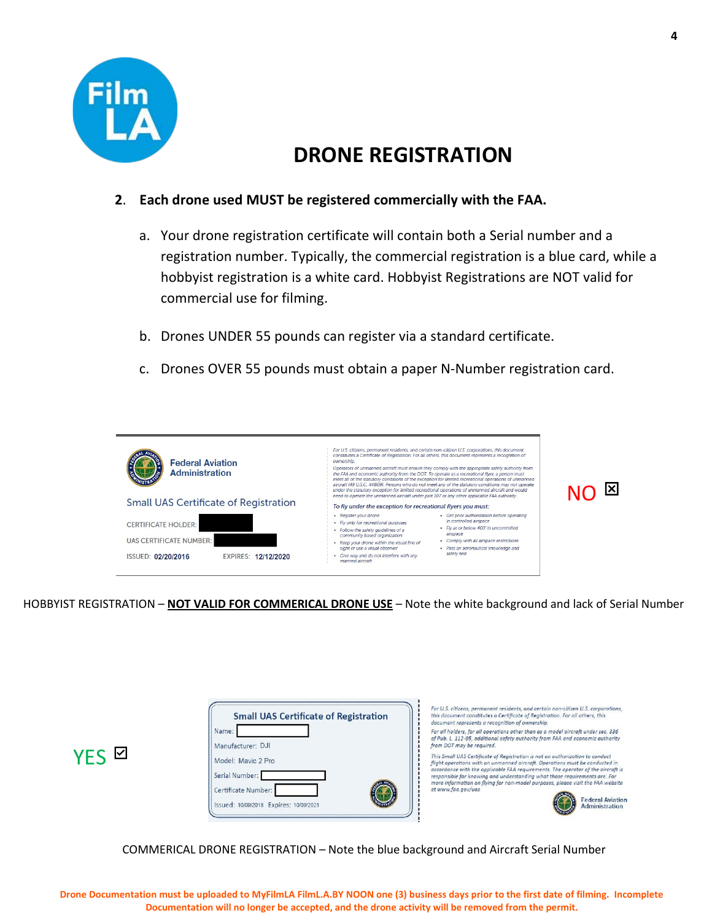

### **DRONE REGISTRATION**

#### **2**. **Each drone used MUST be registered commercially with the FAA.**

- a. Your drone registration certificate will contain both a Serial number and a registration number. Typically, the commercial registration is a blue card, while a hobbyist registration is a white card. Hobbyist Registrations are NOT valid for commercial use for filming.
- b. Drones UNDER 55 pounds can register via a standard certificate.
- c. Drones OVER 55 pounds must obtain a paper N-Number registration card.



HOBBYIST REGISTRATION – **NOT VALID FOR COMMERICAL DRONE USE** – Note the white background and lack of Serial Number

| <b>Small UAS Certificate of Registration</b><br>Name:<br>Manufacturer: DJI<br>VEC N<br>Model: Mavic 2 Pro<br>Serial Number:<br>Certificate Number:<br>Issued: 10/09/2018 Expires: 10/09/2021 | this document constitutes a Certificate of Registration. For all others, this<br>document represents a recognition of ownership.<br>For all holders, for all operations other than as a model aircraft under sec. 336<br>of Pub. L. 112-95, additional safety authority from FAA and economic authority<br>from DOT may be required.<br>This Small UAS Certificate of Registration is not an authorization to conduct<br>flight operations with an unmanned aircraft. Operations must be conducted in<br>accordance with the applicable FAA requirements. The operator of the aircraft is<br>responsible for knowing and understanding what those requirements are. For<br>more information on flying for non-model purposes, please visit the FAA website<br>at www.faa.gov/uas<br><b>Federal Aviatio</b><br><b>Administration</b> |
|----------------------------------------------------------------------------------------------------------------------------------------------------------------------------------------------|-------------------------------------------------------------------------------------------------------------------------------------------------------------------------------------------------------------------------------------------------------------------------------------------------------------------------------------------------------------------------------------------------------------------------------------------------------------------------------------------------------------------------------------------------------------------------------------------------------------------------------------------------------------------------------------------------------------------------------------------------------------------------------------------------------------------------------------|
|----------------------------------------------------------------------------------------------------------------------------------------------------------------------------------------------|-------------------------------------------------------------------------------------------------------------------------------------------------------------------------------------------------------------------------------------------------------------------------------------------------------------------------------------------------------------------------------------------------------------------------------------------------------------------------------------------------------------------------------------------------------------------------------------------------------------------------------------------------------------------------------------------------------------------------------------------------------------------------------------------------------------------------------------|

COMMERICAL DRONE REGISTRATION – Note the blue background and Aircraft Serial Number

 $\overline{\phantom{0}}$ 

**Federal Aviation** Administration

**4**

**Drone Documentation must be uploaded to MyFilmLA FilmL.A.BY NOON one (3) business days prior to the first date of filming. Incomplete Documentation will no longer be accepted, and the drone activity will be removed from the permit.**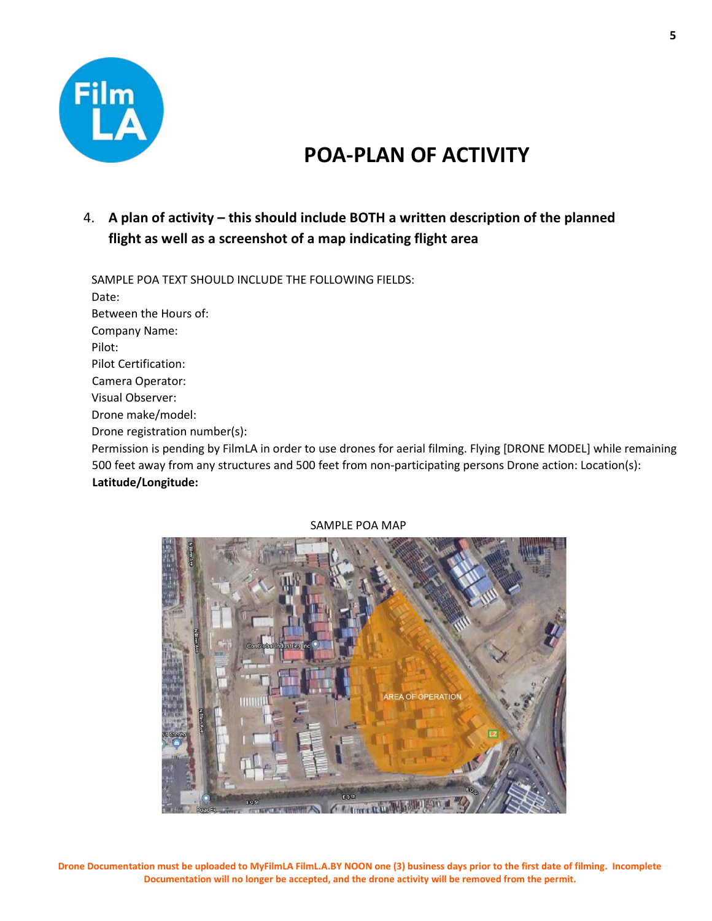

## **POA-PLAN OF ACTIVITY**

#### 4. **A plan of activity – this should include BOTH a written description of the planned flight as well as a screenshot of a map indicating flight area**

SAMPLE POA TEXT SHOULD INCLUDE THE FOLLOWING FIELDS:

Date:

Between the Hours of: Company Name:

Pilot:

Pilot Certification:

Camera Operator:

Visual Observer:

Drone make/model:

Drone registration number(s):

Permission is pending by FilmLA in order to use drones for aerial filming. Flying [DRONE MODEL] while remaining 500 feet away from any structures and 500 feet from non-participating persons Drone action: Location(s): **Latitude/Longitude:**



#### SAMPLE POA MAP

**Drone Documentation must be uploaded to MyFilmLA FilmL.A.BY NOON one (3) business days prior to the first date of filming. Incomplete Documentation will no longer be accepted, and the drone activity will be removed from the permit.**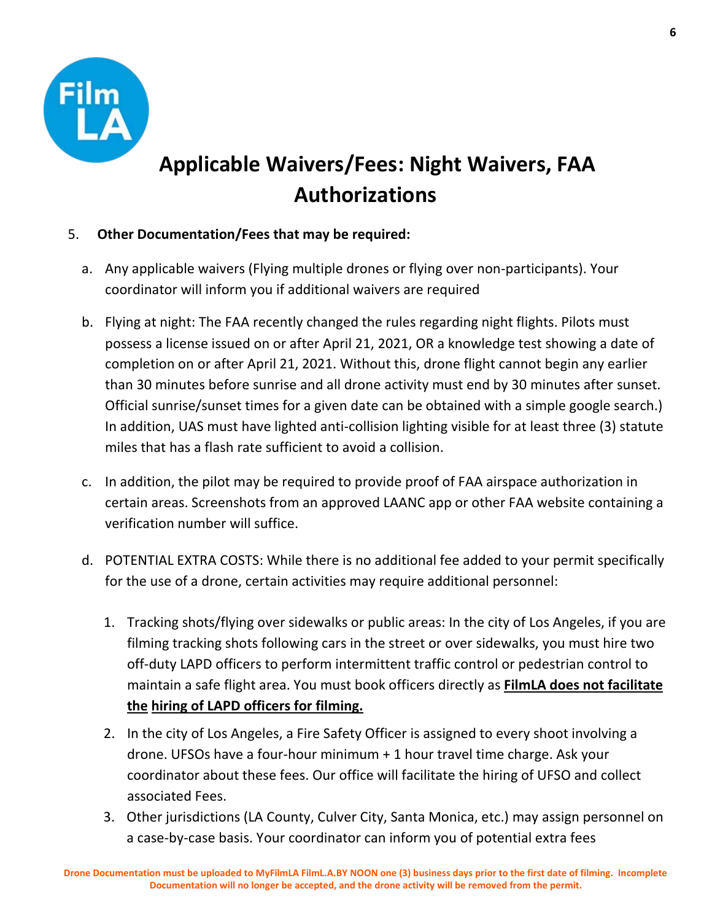

# **Applicable Waivers/Fees: Night Waivers, FAA Authorizations**

#### 5. **Other Documentation/Fees that may be required:**

- a. Any applicable waivers (Flying multiple drones or flying over non-participants). Your coordinator will inform you if additional waivers are required
- b. Flying at night: The FAA recently changed the rules regarding night flights. Pilots must possess a license issued on or after April 21, 2021, OR a knowledge test showing a date of completion on or after April 21, 2021. Without this, drone flight cannot begin any earlier than 30 minutes before sunrise and all drone activity must end by 30 minutes after sunset. Official sunrise/sunset times for a given date can be obtained with a simple google search.) In addition, UAS must have lighted anti-collision lighting visible for at least three (3) statute miles that has a flash rate sufficient to avoid a collision.
- c. In addition, the pilot may be required to provide proof of FAA airspace authorization in certain areas. Screenshots from an approved LAANC app or other FAA website containing a verification number will suffice.
- d. POTENTIAL EXTRA COSTS: While there is no additional fee added to your permit specifically for the use of a drone, certain activities may require additional personnel:
	- 1. Tracking shots/flying over sidewalks or public areas: In the city of Los Angeles, if you are filming tracking shots following cars in the street or over sidewalks, you must hire two off-duty LAPD officers to perform intermittent traffic control or pedestrian control to maintain a safe flight area. You must book officers directly as **FilmLA does not facilitate the hiring of LAPD officers for filming.**
	- 2. In the city of Los Angeles, a Fire Safety Officer is assigned to every shoot involving a drone. UFSOs have a four-hour minimum + 1 hour travel time charge. Ask your coordinator about these fees. Our office will facilitate the hiring of UFSO and collect associated Fees.
	- 3. Other jurisdictions (LA County, Culver City, Santa Monica, etc.) may assign personnel on a case-by-case basis. Your coordinator can inform you of potential extra fees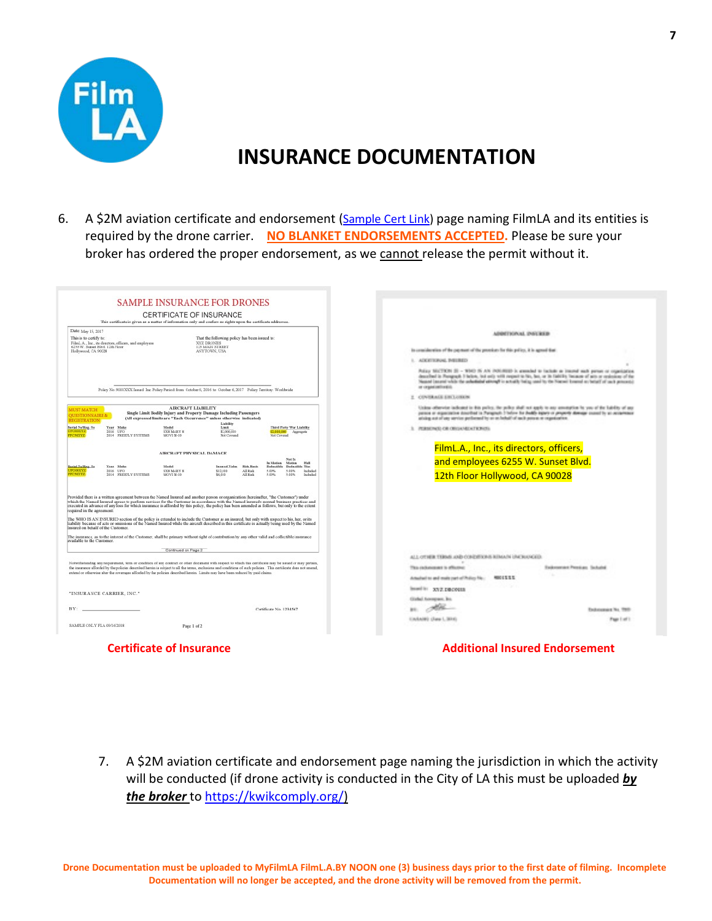

## **INSURANCE DOCUMENTATION**

6. A \$2M aviation certificate and endorsement [\(Sample Cert Link\)](https://www.filmla.com/wp-content/uploads/2019/07/DRONE-SAMPLE-2019-COI-Film-LA-004.pdf) page naming FilmLA and its entities is required by the drone carrier. **NO BLANKET ENDORSEMENTS ACCEPTED.** Please be sure your broker has ordered the proper endorsement, as we cannot release the permit without it.

| <b>SAMPLE INSURANCE FOR DRONES</b>                                                                                                                                                                                                                                                                                                                                                                                                                                                                                                                                                                                                                                                                                                                                 |                                                                                                                                                                                                                                                                                                                                                                          |
|--------------------------------------------------------------------------------------------------------------------------------------------------------------------------------------------------------------------------------------------------------------------------------------------------------------------------------------------------------------------------------------------------------------------------------------------------------------------------------------------------------------------------------------------------------------------------------------------------------------------------------------------------------------------------------------------------------------------------------------------------------------------|--------------------------------------------------------------------------------------------------------------------------------------------------------------------------------------------------------------------------------------------------------------------------------------------------------------------------------------------------------------------------|
| CERTIFICATE OF INSURANCE                                                                                                                                                                                                                                                                                                                                                                                                                                                                                                                                                                                                                                                                                                                                           |                                                                                                                                                                                                                                                                                                                                                                          |
| This certificate is given as a matter of information only and confers no rights upon the certificate addressee.                                                                                                                                                                                                                                                                                                                                                                                                                                                                                                                                                                                                                                                    |                                                                                                                                                                                                                                                                                                                                                                          |
| Date: May 15, 2017<br>This is to certify to:<br>That the following policy has been issued to:<br>XYZ DRONES<br>FilmL.A., Inc., its directors, officers, and employees<br>6255 W. Sunset Blvd. 12th Floor<br>123 MAIN STREET<br>ANYTOWN, USA<br>Hollywood, CA 90028                                                                                                                                                                                                                                                                                                                                                                                                                                                                                                 | ADMITIONAL INSURER<br>is considerates of the payment of the process: for this policy, it is agreed that<br>1. ADDITIONAL PHORES<br>Publica SECTION (E) - \$590 IS AN INDUSTRE's areasoled to lockable as interest such person or cognitization.<br>described in Perspapi. I brice, led sel): with respect to No, but, or in fability hecause of acts or cealmines of the |
| Policy No. 9001XXX Insted Inc. Policy Period: from October 6, 2016 to October 6, 2017 Policy Territory. Worldwide                                                                                                                                                                                                                                                                                                                                                                                                                                                                                                                                                                                                                                                  | Nessed (several which the anhankabal adverage in actually halog used by the Natural Evansed on behalf of our) processive<br>or carporative to a                                                                                                                                                                                                                          |
|                                                                                                                                                                                                                                                                                                                                                                                                                                                                                                                                                                                                                                                                                                                                                                    | <b>CONTRACT ENCLOSES</b>                                                                                                                                                                                                                                                                                                                                                 |
| AIRCRAFT LIABILITY<br><b>MUST MATCH</b><br>Single Limit Bodily Injury and Property Damage Including Passengers<br><b>OUESTIONNAIRE &amp;</b><br>(All expressed limits are "Each Occurrence" unless otherwise indicated)<br>REGISTRATION                                                                                                                                                                                                                                                                                                                                                                                                                                                                                                                            | Union otherwise indicated in this paths, the policy shall not apply to any assumption by you of the hability of any<br>parent or experiment described in Paragraph 3 below for dealth appears or property downpar council by an occasioner<br>ativing not of you verying performed by on on helical' of such powers or regulatories.                                     |
| Lishilty<br>Serial Na/Reg. No.<br>Year Make<br>Medel<br>Limit<br><b>Third Party War Liability</b><br><b>IPO00XYZ</b><br>2006 UPO<br><b>SXEMARY E</b><br>\$2,000,000<br>52.000.000<br>Aggregate<br>TC50XYZ<br>2014 FREEFLY SYSTEMS<br>MOVI M-10<br>Not Covered<br><b>Not Conunal</b>                                                                                                                                                                                                                                                                                                                                                                                                                                                                                | 3. PERMONED OR ORIGANIZATION OF                                                                                                                                                                                                                                                                                                                                          |
| AIRCRAFT PHYSICAL DAMAGE                                                                                                                                                                                                                                                                                                                                                                                                                                                                                                                                                                                                                                                                                                                                           | FilmL.A., Inc., its directors, officers,                                                                                                                                                                                                                                                                                                                                 |
| Not In<br>In Motion<br>Hull<br>Mettes.<br>Scrial Na/Reg. No.<br>Rick Back<br>Year Make<br>Medel<br>Insured Value<br>Deductible<br>Deductible War                                                                                                                                                                                                                                                                                                                                                                                                                                                                                                                                                                                                                   | and employees 6255 W. Sunset Blvd.                                                                                                                                                                                                                                                                                                                                       |
| <b>POOCKY</b><br>2006 UPO<br><b>SXEMARY E</b><br>\$12,000<br>All Rick<br>5.00%<br>5.00%<br>Incheded<br><b>SUVER</b><br>2014 FREEFLY SYSTEMS<br>\$6,000<br>5.00%<br>5.00%<br>Inchaded<br>MOVI M-10<br>All Falk                                                                                                                                                                                                                                                                                                                                                                                                                                                                                                                                                      | 12th Floor Hollywood, CA 90028                                                                                                                                                                                                                                                                                                                                           |
| Provided there is a written agreement between the Named Insured and another person or organization (hereinafter, "the Customer") under<br>which the Named Insured agrees to perform services for the Customer in accordance with the Named Insured's normal business practices and<br>executed in advance of any loss for which insurance is afforded by this policy, the policy has been amended as follows, but only to the extent<br>required in the agreement:<br>The WHO IS AN INSURED section of the policy is extended to include the Customer as an insured, but only with respect to his, her, or its<br>liability because of acts or omissions of the Named Insured while the aircraft described in this certificate is actually being used by the Named |                                                                                                                                                                                                                                                                                                                                                                          |
| Insured on behalf of the Customer.                                                                                                                                                                                                                                                                                                                                                                                                                                                                                                                                                                                                                                                                                                                                 |                                                                                                                                                                                                                                                                                                                                                                          |
| The insurance, as to the interest of the Customer, shall be primary without right of contribution by any other valid and collectible insurance<br>available to the Customer.                                                                                                                                                                                                                                                                                                                                                                                                                                                                                                                                                                                       |                                                                                                                                                                                                                                                                                                                                                                          |
| Continued on Page 2                                                                                                                                                                                                                                                                                                                                                                                                                                                                                                                                                                                                                                                                                                                                                | ALL OTHER TERMS AND CONDITIONS REMAIN UNCHANGED.                                                                                                                                                                                                                                                                                                                         |
| Notwithstanding any requirement, term or condition of any contract or other document with respect to which this certificate may be issued or may pertain,<br>the insurance afforded by the policies described herein is subject to all the terms, exclusions and conditions of such policies. This certificate does not amend,                                                                                                                                                                                                                                                                                                                                                                                                                                     | Estimated Penture Schuld<br>This carbon was to affected                                                                                                                                                                                                                                                                                                                  |
| extend or otherwise alter the coverages afforded by the policies described herein. Limits may have been reduced by paid claims.                                                                                                                                                                                                                                                                                                                                                                                                                                                                                                                                                                                                                                    | <b>MINOCREE</b><br>Artwired to and main part of Policy No.                                                                                                                                                                                                                                                                                                               |
| "INSURANCE CARRIER, INC."                                                                                                                                                                                                                                                                                                                                                                                                                                                                                                                                                                                                                                                                                                                                          | interest in xyg. DBCOGER                                                                                                                                                                                                                                                                                                                                                 |
|                                                                                                                                                                                                                                                                                                                                                                                                                                                                                                                                                                                                                                                                                                                                                                    | Gialal Annopas, Inc.                                                                                                                                                                                                                                                                                                                                                     |
| BY:<br>Certificate No. 1234567                                                                                                                                                                                                                                                                                                                                                                                                                                                                                                                                                                                                                                                                                                                                     | Endersease No. 791                                                                                                                                                                                                                                                                                                                                                       |
| SAMPLE ONLY FLA 09/16/2018<br>Page 1 of 2                                                                                                                                                                                                                                                                                                                                                                                                                                                                                                                                                                                                                                                                                                                          | CASAIN) (Fate 1, 3016)<br>Fage 1 of                                                                                                                                                                                                                                                                                                                                      |

**Certificate of Insurance Additional Insured Endorsement Additional Insured Endorsement** 

7. A \$2M aviation certificate and endorsement page naming the jurisdiction in which the activity will be conducted (if drone activity is conducted in the City of LA this must be uploaded *by the broker* to [https://kwikcomply.org/\)](https://kwikcomply.org/)

**Drone Documentation must be uploaded to MyFilmLA FilmL.A.BY NOON one (3) business days prior to the first date of filming. Incomplete Documentation will no longer be accepted, and the drone activity will be removed from the permit.**